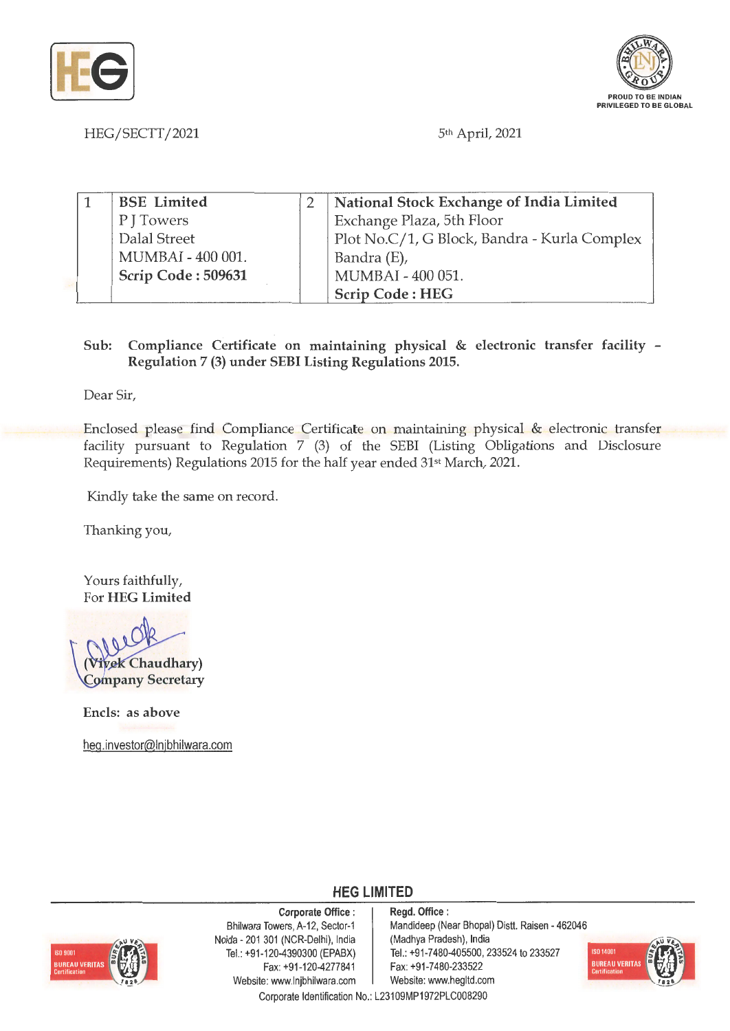



HEG/SECTT/2021 5<sup>th</sup> April, 2021

| <b>BSE</b> Limited | National Stock Exchange of India Limited     |
|--------------------|----------------------------------------------|
| P J Towers         | Exchange Plaza, 5th Floor                    |
| Dalal Street       | Plot No.C/1, G Block, Bandra - Kurla Complex |
| MUMBAI - 400 001.  | Bandra (E),                                  |
| Scrip Code: 509631 | MUMBAI - 400 051.                            |
|                    | <b>Scrip Code: HEG</b>                       |

**Sub: Compliance Certificate on maintaining physical** & **electronic transfer facility** - **Regulation** 7 **(3) under SEBI Listing Regulations 2015.** 

Dear Sir,

Enclosed please find Compliance Certificate on maintaining physical & electronic transfer facility pursuant to Regulation 7 (3) of the SEBI (Listing Obligations and Disclosure Requirements) Regulations 2015 for the half year ended 31st March, 2021.

Kindly take the same on record.

Thanking you,

Yours faithfully, For **HEG Limited** 

**Chaudhary) Company Secretary** 

Encls: as above

heg.investor@lnjbhilwara.com



**Corporate Office** : Bhilwara Towers, A-12, Sector-1 Neida - 201 301 (NCR-Delhi), India Tel.: +91 -120-4390300 (EPABX) Fax: +91 -120-4277841 Website: www.lnjbhilwara.com | Website: www.hegltd.com

**Regd. Office** : Mandideep (Near Bhopal) Distt. Raisen - 462046 (Madhya Pradesh), India Tel.: +91-7480-405500, 233524 to 233527 Fax: +91 -7480-233522



Corporate Identification No.: L23109MP1972PLC008290

**HEG LIMITED**